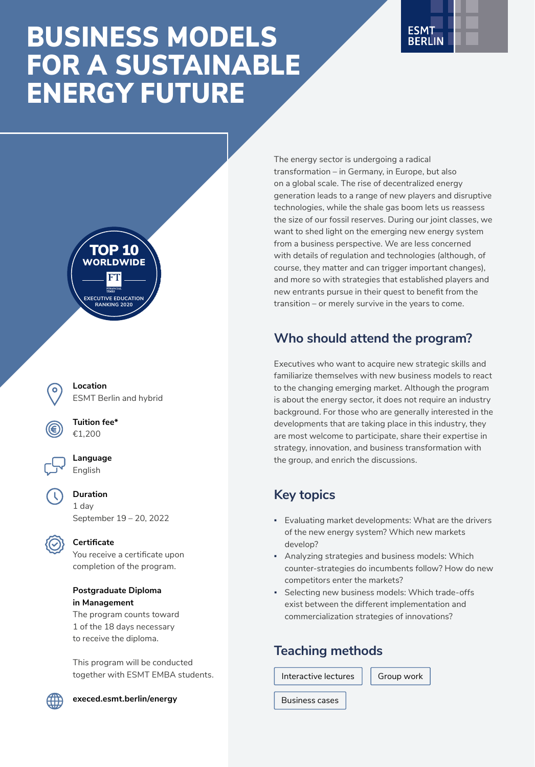# BUSINESS MODELS FOR A SUSTAINABLE ENERGY FUTURE





**Location** ESMT Berlin and hybrid

**Tuition fee\*** €1,200



**Duration**

1 day September 19 – 20, 2022



### **Certificate**

You receive a certificate upon completion of the program.

#### **Postgraduate Diploma in Management**

The program counts toward 1 of the 18 days necessary to receive the diploma.

This program will be conducted together with ESMT EMBA students.



**[execed.esmt.berlin/energy](https://execed.esmt.berlin/energy)**

The energy sector is undergoing a radical transformation – in Germany, in Europe, but also on a global scale. The rise of decentralized energy generation leads to a range of new players and disruptive technologies, while the shale gas boom lets us reassess the size of our fossil reserves. During our joint classes, we want to shed light on the emerging new energy system from a business perspective. We are less concerned with details of regulation and technologies (although, of course, they matter and can trigger important changes), and more so with strategies that established players and new entrants pursue in their quest to benefit from the transition – or merely survive in the years to come.

# **Who should attend the program?**

Executives who want to acquire new strategic skills and familiarize themselves with new business models to react to the changing emerging market. Although the program is about the energy sector, it does not require an industry background. For those who are generally interested in the developments that are taking place in this industry, they are most welcome to participate, share their expertise in strategy, innovation, and business transformation with the group, and enrich the discussions.

# **Key topics**

- Evaluating market developments: What are the drivers of the new energy system? Which new markets develop?
- **Analyzing strategies and business models: Which** counter-strategies do incumbents follow? How do new competitors enter the markets?
- **Selecting new business models: Which trade-offs** exist between the different implementation and commercialization strategies of innovations?

### **Teaching methods**

Interactive lectures  $\|\cdot\|$  Group work

Business cases